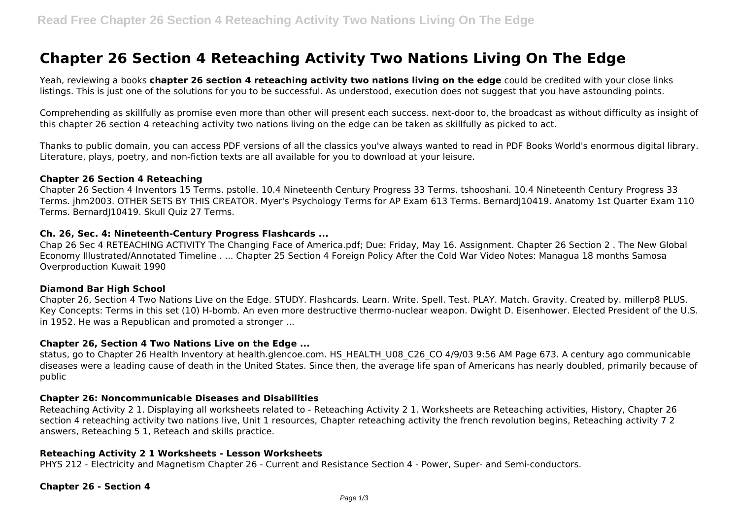# **Chapter 26 Section 4 Reteaching Activity Two Nations Living On The Edge**

Yeah, reviewing a books **chapter 26 section 4 reteaching activity two nations living on the edge** could be credited with your close links listings. This is just one of the solutions for you to be successful. As understood, execution does not suggest that you have astounding points.

Comprehending as skillfully as promise even more than other will present each success. next-door to, the broadcast as without difficulty as insight of this chapter 26 section 4 reteaching activity two nations living on the edge can be taken as skillfully as picked to act.

Thanks to public domain, you can access PDF versions of all the classics you've always wanted to read in PDF Books World's enormous digital library. Literature, plays, poetry, and non-fiction texts are all available for you to download at your leisure.

#### **Chapter 26 Section 4 Reteaching**

Chapter 26 Section 4 Inventors 15 Terms. pstolle. 10.4 Nineteenth Century Progress 33 Terms. tshooshani. 10.4 Nineteenth Century Progress 33 Terms. jhm2003. OTHER SETS BY THIS CREATOR. Myer's Psychology Terms for AP Exam 613 Terms. BernardJ10419. Anatomy 1st Quarter Exam 110 Terms. Bernard|10419. Skull Quiz 27 Terms.

#### **Ch. 26, Sec. 4: Nineteenth-Century Progress Flashcards ...**

Chap 26 Sec 4 RETEACHING ACTIVITY The Changing Face of America.pdf; Due: Friday, May 16. Assignment. Chapter 26 Section 2 . The New Global Economy Illustrated/Annotated Timeline . ... Chapter 25 Section 4 Foreign Policy After the Cold War Video Notes: Managua 18 months Samosa Overproduction Kuwait 1990

#### **Diamond Bar High School**

Chapter 26, Section 4 Two Nations Live on the Edge. STUDY. Flashcards. Learn. Write. Spell. Test. PLAY. Match. Gravity. Created by. millerp8 PLUS. Key Concepts: Terms in this set (10) H-bomb. An even more destructive thermo-nuclear weapon. Dwight D. Eisenhower. Elected President of the U.S. in 1952. He was a Republican and promoted a stronger ...

#### **Chapter 26, Section 4 Two Nations Live on the Edge ...**

status, go to Chapter 26 Health Inventory at health.glencoe.com. HS\_HEALTH\_U08\_C26\_CO 4/9/03 9:56 AM Page 673. A century ago communicable diseases were a leading cause of death in the United States. Since then, the average life span of Americans has nearly doubled, primarily because of public

#### **Chapter 26: Noncommunicable Diseases and Disabilities**

Reteaching Activity 2 1. Displaying all worksheets related to - Reteaching Activity 2 1. Worksheets are Reteaching activities, History, Chapter 26 section 4 reteaching activity two nations live, Unit 1 resources, Chapter reteaching activity the french revolution begins, Reteaching activity 7 2 answers, Reteaching 5 1, Reteach and skills practice.

#### **Reteaching Activity 2 1 Worksheets - Lesson Worksheets**

PHYS 212 - Electricity and Magnetism Chapter 26 - Current and Resistance Section 4 - Power, Super- and Semi-conductors.

#### **Chapter 26 - Section 4**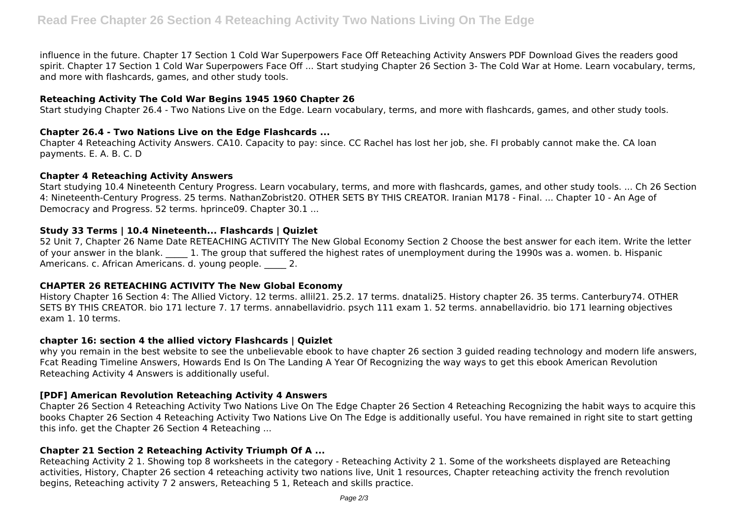influence in the future. Chapter 17 Section 1 Cold War Superpowers Face Off Reteaching Activity Answers PDF Download Gives the readers good spirit. Chapter 17 Section 1 Cold War Superpowers Face Off ... Start studying Chapter 26 Section 3- The Cold War at Home. Learn vocabulary, terms, and more with flashcards, games, and other study tools.

# **Reteaching Activity The Cold War Begins 1945 1960 Chapter 26**

Start studying Chapter 26.4 - Two Nations Live on the Edge. Learn vocabulary, terms, and more with flashcards, games, and other study tools.

# **Chapter 26.4 - Two Nations Live on the Edge Flashcards ...**

Chapter 4 Reteaching Activity Answers. CA10. Capacity to pay: since. CC Rachel has lost her job, she. FI probably cannot make the. CA loan payments. E. A. B. C. D

# **Chapter 4 Reteaching Activity Answers**

Start studying 10.4 Nineteenth Century Progress. Learn vocabulary, terms, and more with flashcards, games, and other study tools. ... Ch 26 Section 4: Nineteenth-Century Progress. 25 terms. NathanZobrist20. OTHER SETS BY THIS CREATOR. Iranian M178 - Final. ... Chapter 10 - An Age of Democracy and Progress. 52 terms. hprince09. Chapter 30.1 ...

# **Study 33 Terms | 10.4 Nineteenth... Flashcards | Quizlet**

52 Unit 7, Chapter 26 Name Date RETEACHING ACTIVITY The New Global Economy Section 2 Choose the best answer for each item. Write the letter of your answer in the blank. 1. The group that suffered the highest rates of unemployment during the 1990s was a. women. b. Hispanic Americans. c. African Americans. d. young people. 2.

# **CHAPTER 26 RETEACHING ACTIVITY The New Global Economy**

History Chapter 16 Section 4: The Allied Victory. 12 terms. allil21. 25.2. 17 terms. dnatali25. History chapter 26. 35 terms. Canterbury74. OTHER SETS BY THIS CREATOR. bio 171 lecture 7. 17 terms. annabellavidrio. psych 111 exam 1. 52 terms. annabellavidrio. bio 171 learning objectives exam 1. 10 terms.

# **chapter 16: section 4 the allied victory Flashcards | Quizlet**

why you remain in the best website to see the unbelievable ebook to have chapter 26 section 3 guided reading technology and modern life answers, Fcat Reading Timeline Answers, Howards End Is On The Landing A Year Of Recognizing the way ways to get this ebook American Revolution Reteaching Activity 4 Answers is additionally useful.

# **[PDF] American Revolution Reteaching Activity 4 Answers**

Chapter 26 Section 4 Reteaching Activity Two Nations Live On The Edge Chapter 26 Section 4 Reteaching Recognizing the habit ways to acquire this books Chapter 26 Section 4 Reteaching Activity Two Nations Live On The Edge is additionally useful. You have remained in right site to start getting this info. get the Chapter 26 Section 4 Reteaching ...

# **Chapter 21 Section 2 Reteaching Activity Triumph Of A ...**

Reteaching Activity 2 1. Showing top 8 worksheets in the category - Reteaching Activity 2 1. Some of the worksheets displayed are Reteaching activities, History, Chapter 26 section 4 reteaching activity two nations live, Unit 1 resources, Chapter reteaching activity the french revolution begins, Reteaching activity 7 2 answers, Reteaching 5 1, Reteach and skills practice.